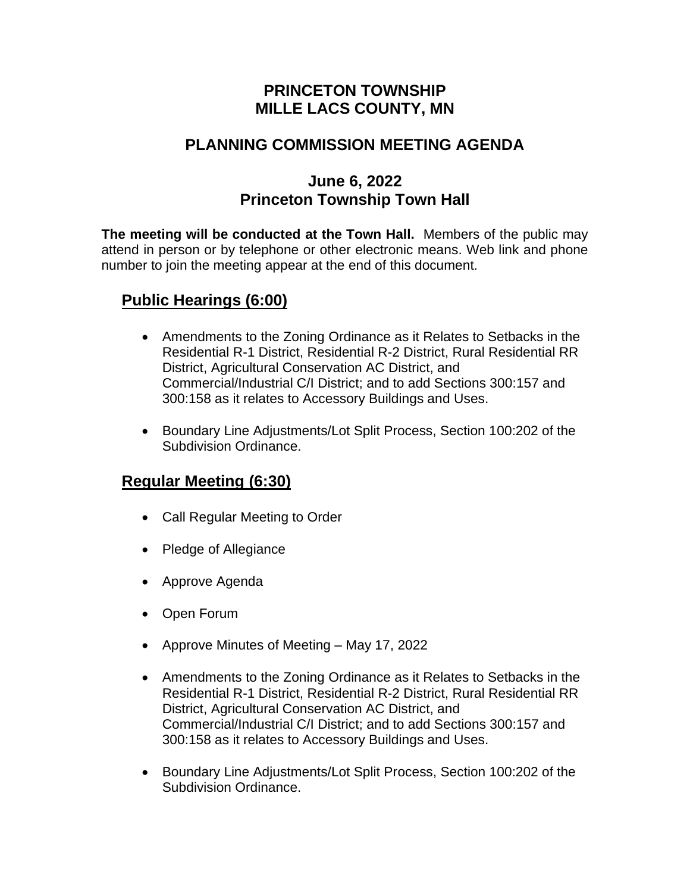## **PRINCETON TOWNSHIP MILLE LACS COUNTY, MN**

## **PLANNING COMMISSION MEETING AGENDA**

## **June 6, 2022 Princeton Township Town Hall**

**The meeting will be conducted at the Town Hall.** Members of the public may attend in person or by telephone or other electronic means. Web link and phone number to join the meeting appear at the end of this document*.*

## **Public Hearings (6:00)**

- Amendments to the Zoning Ordinance as it Relates to Setbacks in the Residential R-1 District, Residential R-2 District, Rural Residential RR District, Agricultural Conservation AC District, and Commercial/Industrial C/I District; and to add Sections 300:157 and 300:158 as it relates to Accessory Buildings and Uses.
- Boundary Line Adjustments/Lot Split Process, Section 100:202 of the Subdivision Ordinance.

# **Regular Meeting (6:30)**

- Call Regular Meeting to Order
- Pledge of Allegiance
- Approve Agenda
- Open Forum
- Approve Minutes of Meeting May 17, 2022
- Amendments to the Zoning Ordinance as it Relates to Setbacks in the Residential R-1 District, Residential R-2 District, Rural Residential RR District, Agricultural Conservation AC District, and Commercial/Industrial C/I District; and to add Sections 300:157 and 300:158 as it relates to Accessory Buildings and Uses.
- Boundary Line Adjustments/Lot Split Process, Section 100:202 of the Subdivision Ordinance.